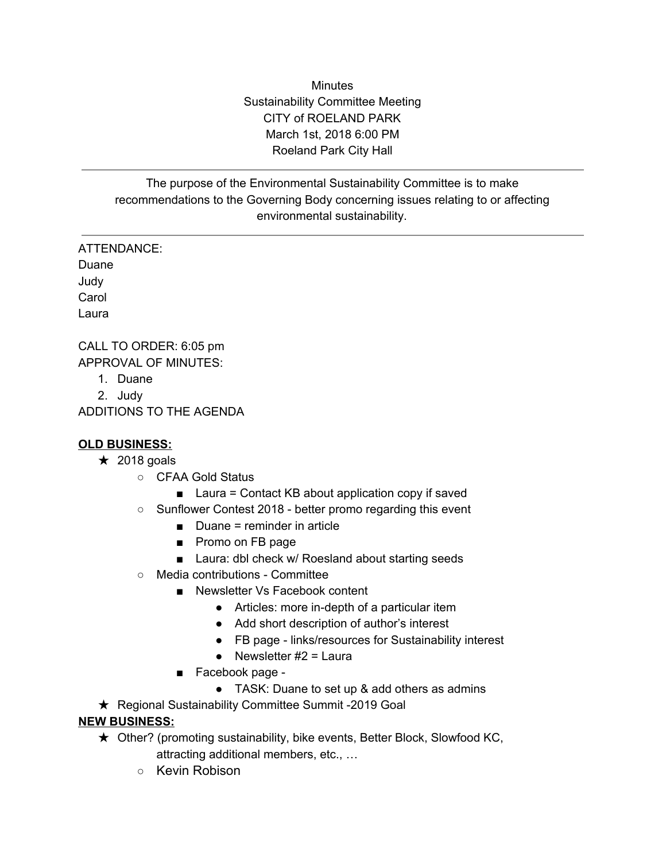**Minutes** Sustainability Committee Meeting CITY of ROELAND PARK March 1st, 2018 6:00 PM Roeland Park City Hall

The purpose of the Environmental Sustainability Committee is to make recommendations to the Governing Body concerning issues relating to or affecting environmental sustainability.

ATTENDANCE: Duane Judy **Carol** Laura

CALL TO ORDER: 6:05 pm APPROVAL OF MINUTES:

- 1. Duane
- 2. Judy

ADDITIONS TO THE AGENDA

## **OLD BUSINESS:**

- $\star$  2018 goals
	- CFAA Gold Status
		- Laura = Contact KB about application copy if saved
	- Sunflower Contest 2018 better promo regarding this event
		- $\blacksquare$  Duane = reminder in article
		- Promo on FB page
		- Laura: dbl check w/ Roesland about starting seeds
	- Media contributions Committee
		- Newsletter Vs Facebook content
			- Articles: more in-depth of a particular item
			- Add short description of author's interest
			- FB page links/resources for Sustainability interest
			- Newsletter  $#2 =$  Laura
		- Facebook page -
			- TASK: Duane to set up & add others as admins

**★ Regional Sustainability Committee Summit -2019 Goal** 

## **NEW BUSINESS:**

- ★ Other? (promoting sustainability, bike events, Better Block, Slowfood KC, attracting additional members, etc., …
	- Kevin Robison